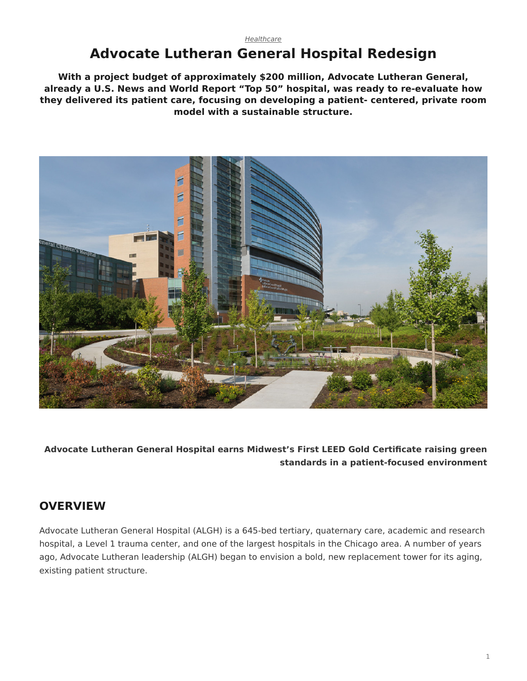# **Advocate Lutheran General Hospital Redesign**

**With a project budget of approximately \$200 million, Advocate Lutheran General, already a U.S. News and World Report "Top 50" hospital, was ready to re-evaluate how they delivered its patient care, focusing on developing a patient- centered, private room model with a sustainable structure.**



**Advocate Lutheran General Hospital earns Midwest's First LEED Gold Certificate raising green standards in a patient-focused environment**

### **OVERVIEW**

Advocate Lutheran General Hospital (ALGH) is a 645-bed tertiary, quaternary care, academic and research hospital, a Level 1 trauma center, and one of the largest hospitals in the Chicago area. A number of years ago, Advocate Lutheran leadership (ALGH) began to envision a bold, new replacement tower for its aging, existing patient structure.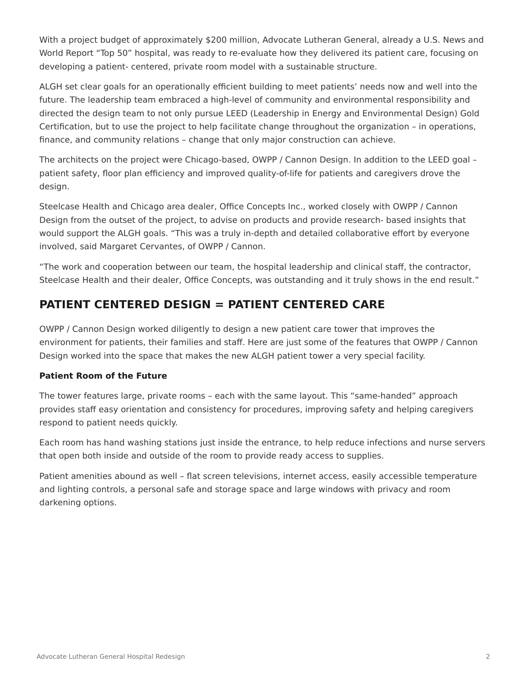With a project budget of approximately \$200 million, Advocate Lutheran General, already a U.S. News and World Report "Top 50" hospital, was ready to re-evaluate how they delivered its patient care, focusing on developing a patient- centered, private room model with a sustainable structure.

ALGH set clear goals for an operationally efficient building to meet patients' needs now and well into the future. The leadership team embraced a high-level of community and environmental responsibility and directed the design team to not only pursue LEED (Leadership in Energy and Environmental Design) Gold Certification, but to use the project to help facilitate change throughout the organization – in operations, finance, and community relations – change that only major construction can achieve.

The architects on the project were Chicago-based, OWPP / Cannon Design. In addition to the LEED goal – patient safety, floor plan efficiency and improved quality-of-life for patients and caregivers drove the design.

Steelcase Health and Chicago area dealer, Office Concepts Inc., worked closely with OWPP / Cannon Design from the outset of the project, to advise on products and provide research- based insights that would support the ALGH goals. "This was a truly in-depth and detailed collaborative effort by everyone involved, said Margaret Cervantes, of OWPP / Cannon.

"The work and cooperation between our team, the hospital leadership and clinical staff, the contractor, Steelcase Health and their dealer, Office Concepts, was outstanding and it truly shows in the end result."

### **PATIENT CENTERED DESIGN = PATIENT CENTERED CARE**

OWPP / Cannon Design worked diligently to design a new patient care tower that improves the environment for patients, their families and staff. Here are just some of the features that OWPP / Cannon Design worked into the space that makes the new ALGH patient tower a very special facility.

#### **Patient Room of the Future**

The tower features large, private rooms – each with the same layout. This "same-handed" approach provides staff easy orientation and consistency for procedures, improving safety and helping caregivers respond to patient needs quickly.

Each room has hand washing stations just inside the entrance, to help reduce infections and nurse servers that open both inside and outside of the room to provide ready access to supplies.

Patient amenities abound as well – flat screen televisions, internet access, easily accessible temperature and lighting controls, a personal safe and storage space and large windows with privacy and room darkening options.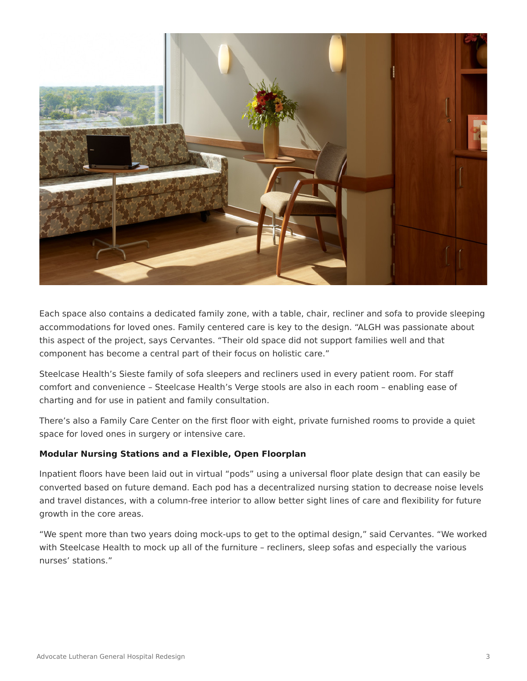

Each space also contains a dedicated family zone, with a table, chair, recliner and sofa to provide sleeping accommodations for loved ones. Family centered care is key to the design. "ALGH was passionate about this aspect of the project, says Cervantes. "Their old space did not support families well and that component has become a central part of their focus on holistic care."

Steelcase Health's Sieste family of sofa sleepers and recliners used in every patient room. For staff comfort and convenience – Steelcase Health's Verge stools are also in each room – enabling ease of charting and for use in patient and family consultation.

There's also a Family Care Center on the first floor with eight, private furnished rooms to provide a quiet space for loved ones in surgery or intensive care.

#### **Modular Nursing Stations and a Flexible, Open Floorplan**

Inpatient floors have been laid out in virtual "pods" using a universal floor plate design that can easily be converted based on future demand. Each pod has a decentralized nursing station to decrease noise levels and travel distances, with a column-free interior to allow better sight lines of care and flexibility for future growth in the core areas.

"We spent more than two years doing mock-ups to get to the optimal design," said Cervantes. "We worked with Steelcase Health to mock up all of the furniture – recliners, sleep sofas and especially the various nurses' stations."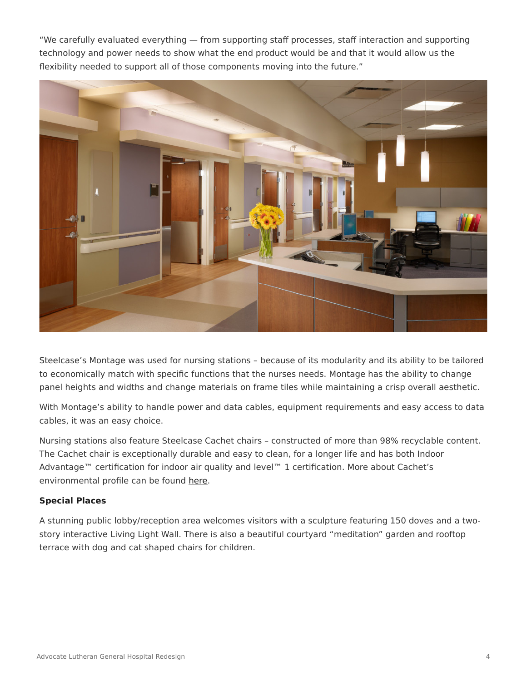"We carefully evaluated everything — from supporting staff processes, staff interaction and supporting technology and power needs to show what the end product would be and that it would allow us the flexibility needed to support all of those components moving into the future."



Steelcase's Montage was used for nursing stations – because of its modularity and its ability to be tailored to economically match with specific functions that the nurses needs. Montage has the ability to change panel heights and widths and change materials on frame tiles while maintaining a crisp overall aesthetic.

With Montage's ability to handle power and data cables, equipment requirements and easy access to data cables, it was an easy choice.

Nursing stations also feature Steelcase Cachet chairs – constructed of more than 98% recyclable content. The Cachet chair is exceptionally durable and easy to clean, for a longer life and has both Indoor Advantage™ certification for indoor air quality and level™ 1 certification. More about Cachet's environmental profile can be found [here](https://www.steelcase.com/resources/documents/cachet-profile/).

#### **Special Places**

A stunning public lobby/reception area welcomes visitors with a sculpture featuring 150 doves and a twostory interactive Living Light Wall. There is also a beautiful courtyard "meditation" garden and rooftop terrace with dog and cat shaped chairs for children.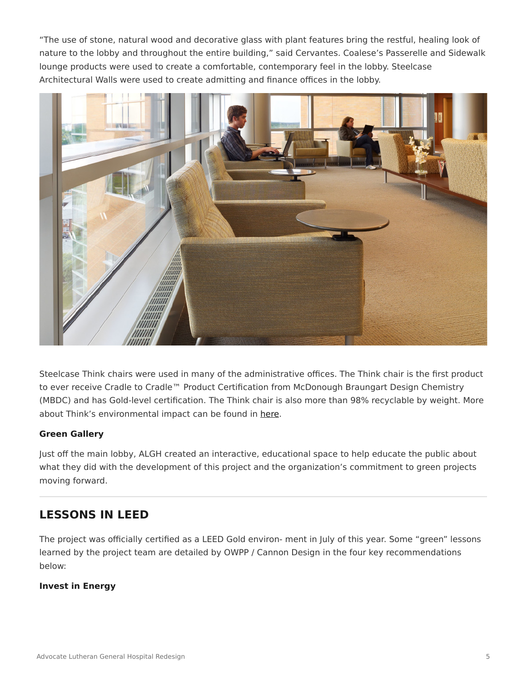"The use of stone, natural wood and decorative glass with plant features bring the restful, healing look of nature to the lobby and throughout the entire building," said Cervantes. Coalese's Passerelle and Sidewalk lounge products were used to create a comfortable, contemporary feel in the lobby. Steelcase Architectural Walls were used to create admitting and finance offices in the lobby.



Steelcase Think chairs were used in many of the administrative offices. The Think chair is the first product to ever receive Cradle to Cradle™ Product Certification from McDonough Braungart Design Chemistry (MBDC) and has Gold-level certification. The Think chair is also more than 98% recyclable by weight. More about Think's environmental impact can be found in [here](https://www.steelcase.com/resources/documents/think-profile/).

#### **Green Gallery**

Just off the main lobby, ALGH created an interactive, educational space to help educate the public about what they did with the development of this project and the organization's commitment to green projects moving forward.

### **LESSONS IN LEED**

The project was officially certified as a LEED Gold environ- ment in July of this year. Some "green" lessons learned by the project team are detailed by OWPP / Cannon Design in the four key recommendations below:

#### **Invest in Energy**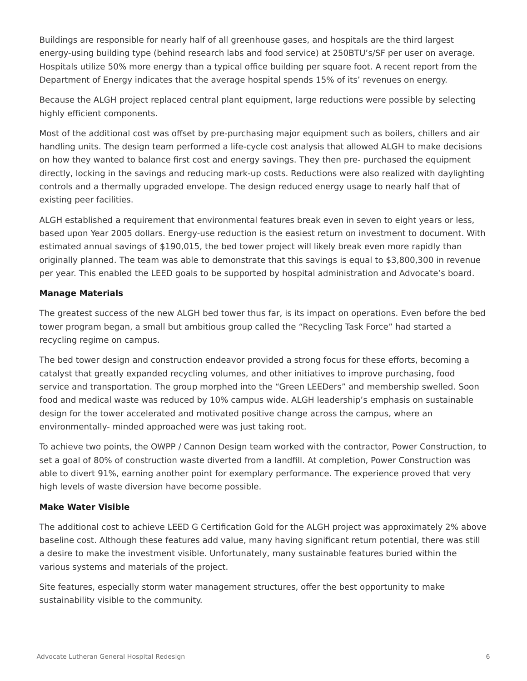Buildings are responsible for nearly half of all greenhouse gases, and hospitals are the third largest energy-using building type (behind research labs and food service) at 250BTU's/SF per user on average. Hospitals utilize 50% more energy than a typical office building per square foot. A recent report from the Department of Energy indicates that the average hospital spends 15% of its' revenues on energy.

Because the ALGH project replaced central plant equipment, large reductions were possible by selecting highly efficient components.

Most of the additional cost was offset by pre-purchasing major equipment such as boilers, chillers and air handling units. The design team performed a life-cycle cost analysis that allowed ALGH to make decisions on how they wanted to balance first cost and energy savings. They then pre- purchased the equipment directly, locking in the savings and reducing mark-up costs. Reductions were also realized with daylighting controls and a thermally upgraded envelope. The design reduced energy usage to nearly half that of existing peer facilities.

ALGH established a requirement that environmental features break even in seven to eight years or less, based upon Year 2005 dollars. Energy-use reduction is the easiest return on investment to document. With estimated annual savings of \$190,015, the bed tower project will likely break even more rapidly than originally planned. The team was able to demonstrate that this savings is equal to \$3,800,300 in revenue per year. This enabled the LEED goals to be supported by hospital administration and Advocate's board.

#### **Manage Materials**

The greatest success of the new ALGH bed tower thus far, is its impact on operations. Even before the bed tower program began, a small but ambitious group called the "Recycling Task Force" had started a recycling regime on campus.

The bed tower design and construction endeavor provided a strong focus for these efforts, becoming a catalyst that greatly expanded recycling volumes, and other initiatives to improve purchasing, food service and transportation. The group morphed into the "Green LEEDers" and membership swelled. Soon food and medical waste was reduced by 10% campus wide. ALGH leadership's emphasis on sustainable design for the tower accelerated and motivated positive change across the campus, where an environmentally- minded approached were was just taking root.

To achieve two points, the OWPP / Cannon Design team worked with the contractor, Power Construction, to set a goal of 80% of construction waste diverted from a landfill. At completion, Power Construction was able to divert 91%, earning another point for exemplary performance. The experience proved that very high levels of waste diversion have become possible.

#### **Make Water Visible**

The additional cost to achieve LEED G Certification Gold for the ALGH project was approximately 2% above baseline cost. Although these features add value, many having significant return potential, there was still a desire to make the investment visible. Unfortunately, many sustainable features buried within the various systems and materials of the project.

Site features, especially storm water management structures, offer the best opportunity to make sustainability visible to the community.